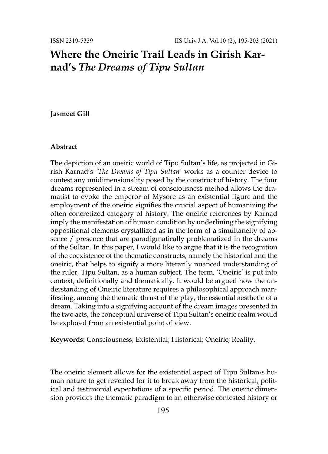# **Where the Oneiric Trail Leads in Girish Karnad's** *The Dreams of Tipu Sultan*

### **Jasmeet Gill**

#### **Abstract**

The depiction of an oneiric world of Tipu Sultan's life, as projected in Girish Karnad's *'The Dreams of Tipu Sultan'* works as a counter device to contest any unidimensionality posed by the construct of history. The four dreams represented in a stream of consciousness method allows the dramatist to evoke the emperor of Mysore as an existential figure and the employment of the oneiric signifies the crucial aspect of humanizing the often concretized category of history. The oneiric references by Karnad imply the manifestation of human condition by underlining the signifying oppositional elements crystallized as in the form of a simultaneity of absence / presence that are paradigmatically problematized in the dreams of the Sultan. In this paper, I would like to argue that it is the recognition of the coexistence of the thematic constructs, namely the historical and the oneiric, that helps to signify a more literarily nuanced understanding of the ruler, Tipu Sultan, as a human subject. The term, 'Oneiric' is put into context, definitionally and thematically. It would be argued how the understanding of Oneiric literature requires a philosophical approach manifesting, among the thematic thrust of the play, the essential aesthetic of a dream. Taking into a signifying account of the dream images presented in the two acts, the conceptual universe of Tipu Sultan's oneiric realm would be explored from an existential point of view.

**Keywords:** Consciousness; Existential; Historical; Oneiric; Reality.

The oneiric element allows for the existential aspect of Tipu Sultan›s human nature to get revealed for it to break away from the historical, political and testimonial expectations of a specific period. The oneiric dimension provides the thematic paradigm to an otherwise contested history or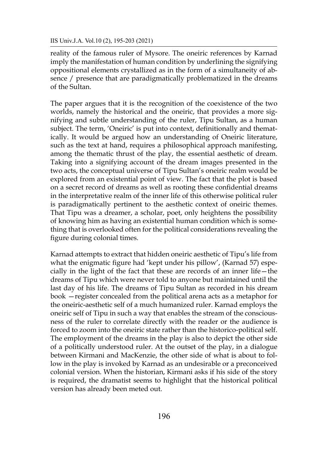reality of the famous ruler of Mysore. The oneiric references by Karnad imply the manifestation of human condition by underlining the signifying oppositional elements crystallized as in the form of a simultaneity of absence / presence that are paradigmatically problematized in the dreams of the Sultan.

The paper argues that it is the recognition of the coexistence of the two worlds, namely the historical and the oneiric, that provides a more signifying and subtle understanding of the ruler, Tipu Sultan, as a human subject. The term, 'Oneiric' is put into context, definitionally and thematically. It would be argued how an understanding of Oneiric literature, such as the text at hand, requires a philosophical approach manifesting, among the thematic thrust of the play, the essential aesthetic of dream. Taking into a signifying account of the dream images presented in the two acts, the conceptual universe of Tipu Sultan's oneiric realm would be explored from an existential point of view. The fact that the plot is based on a secret record of dreams as well as rooting these confidential dreams in the interpretative realm of the inner life of this otherwise political ruler is paradigmatically pertinent to the aesthetic context of oneiric themes. That Tipu was a dreamer, a scholar, poet, only heightens the possibility of knowing him as having an existential human condition which is something that is overlooked often for the political considerations revealing the figure during colonial times.

Karnad attempts to extract that hidden oneiric aesthetic of Tipu's life from what the enigmatic figure had 'kept under his pillow', (Karnad 57) especially in the light of the fact that these are records of an inner life—the dreams of Tipu which were never told to anyone but maintained until the last day of his life. The dreams of Tipu Sultan as recorded in his dream book —register concealed from the political arena acts as a metaphor for the oneiric-aesthetic self of a much humanized ruler. Karnad employs the oneiric self of Tipu in such a way that enables the stream of the consciousness of the ruler to correlate directly with the reader or the audience is forced to zoom into the oneiric state rather than the historico-political self. The employment of the dreams in the play is also to depict the other side of a politically understood ruler. At the outset of the play, in a dialogue between Kirmani and MacKenzie, the other side of what is about to follow in the play is invoked by Karnad as an undesirable or a preconceived colonial version. When the historian, Kirmani asks if his side of the story is required, the dramatist seems to highlight that the historical political version has already been meted out.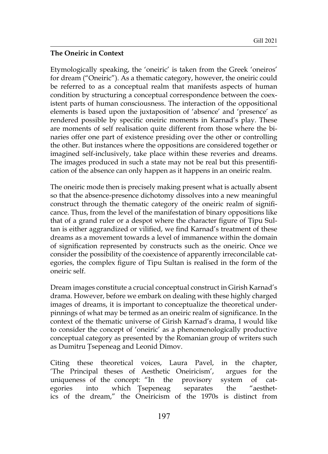## **The Oneiric in Context**

Etymologically speaking, the 'oneiric' is taken from the Greek 'oneiros' for dream ("Oneiric"). As a thematic category, however, the oneiric could be referred to as a conceptual realm that manifests aspects of human condition by structuring a conceptual correspondence between the coexistent parts of human consciousness. The interaction of the oppositional elements is based upon the juxtaposition of 'absence' and 'presence' as rendered possible by specific oneiric moments in Karnad's play. These are moments of self realisation quite different from those where the binaries offer one part of existence presiding over the other or controlling the other. But instances where the oppositions are considered together or imagined self-inclusively, take place within these reveries and dreams. The images produced in such a state may not be real but this presentification of the absence can only happen as it happens in an oneiric realm.

The oneiric mode then is precisely making present what is actually absent so that the absence-presence dichotomy dissolves into a new meaningful construct through the thematic category of the oneiric realm of significance. Thus, from the level of the manifestation of binary oppositions like that of a grand ruler or a despot where the character figure of Tipu Sultan is either aggrandized or vilified, we find Karnad's treatment of these dreams as a movement towards a level of immanence within the domain of signification represented by constructs such as the oneiric. Once we consider the possibility of the coexistence of apparently irreconcilable categories, the complex figure of Tipu Sultan is realised in the form of the oneiric self.

Dream images constitute a crucial conceptual construct in Girish Karnad's drama. However, before we embark on dealing with these highly charged images of dreams, it is important to conceptualize the theoretical underpinnings of what may be termed as an oneiric realm of significance. In the context of the thematic universe of Girish Karnad's drama, I would like to consider the concept of 'oneiric' as a phenomenologically productive conceptual category as presented by the Romanian group of writers such as Dumitru Ţsepeneag and Leonid Dimov.

Citing these theoretical voices, Laura Pavel, in the chapter, 'The Principal theses of Aesthetic Oneiricism', argues for the uniqueness of the concept: "In the provisory system of categories into which Tsepeneag separates the "aesthetics of the dream," the Oneiricism of the 1970s is distinct from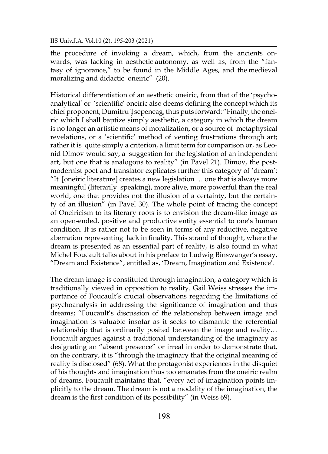the procedure of invoking a dream, which, from the ancients onwards, was lacking in aesthetic autonomy, as well as, from the "fantasy of ignorance," to be found in the Middle Ages, and the medieval moralizing and didactic oneiric" (20).

Historical differentiation of an aesthetic oneiric, from that of the 'psychoanalytical' or 'scientific' oneiric also deems defining the concept which its chief proponent, Dumitru Ţsepeneag, thus puts forward: "Finally, the oneiric which I shall baptize simply aesthetic, a category in which the dream is no longer an artistic means of moralization, or a source of metaphysical revelations, or a 'scientific' method of venting frustrations through art; rather it is quite simply a criterion, a limit term for comparison or, as Leonid Dimov would say, a suggestion for the legislation of an independent art, but one that is analogous to reality" (in Pavel 21). Dimov, the postmodernist poet and translator explicates further this category of 'dream': "It [oneiric literature] creates a new legislation … one that is always more meaningful (literarily speaking), more alive, more powerful than the real world, one that provides not the illusion of a certainty, but the certainty of an illusion" (in Pavel 30). The whole point of tracing the concept of Oneiricism to its literary roots is to envision the dream-like image as an open-ended, positive and productive entity essential to one's human condition. It is rather not to be seen in terms of any reductive, negative aberration representing lack in finality. This strand of thought, where the dream is presented as an essential part of reality, is also found in what Michel Foucault talks about in his preface to Ludwig Binswanger's essay, "Dream and Existence", entitled as, 'Dream, Imagination and Existence'.

The dream image is constituted through imagination, a category which is traditionally viewed in opposition to reality. Gail Weiss stresses the importance of Foucault's crucial observations regarding the limitations of psychoanalysis in addressing the significance of imagination and thus dreams; "Foucault's discussion of the relationship between image and imagination is valuable insofar as it seeks to dismantle the referential relationship that is ordinarily posited between the image and reality… Foucault argues against a traditional understanding of the imaginary as designating an "absent presence" or irreal in order to demonstrate that, on the contrary, it is "through the imaginary that the original meaning of reality is disclosed" (68). What the protagonist experiences in the disquiet of his thoughts and imagination thus too emanates from the oneiric realm of dreams. Foucault maintains that, "every act of imagination points implicitly to the dream. The dream is not a modality of the imagination, the dream is the first condition of its possibility" (in Weiss 69).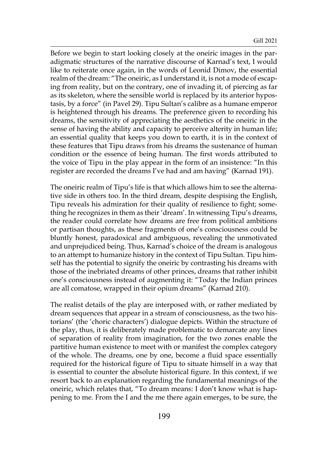Before we begin to start looking closely at the oneiric images in the paradigmatic structures of the narrative discourse of Karnad's text, I would like to reiterate once again, in the words of Leonid Dimov, the essential realm of the dream: "The oneiric, as I understand it, is not a mode of escaping from reality, but on the contrary, one of invading it, of piercing as far as its skeleton, where the sensible world is replaced by its anterior hypostasis, by a force" (in Pavel 29). Tipu Sultan's calibre as a humane emperor is heightened through his dreams. The preference given to recording his dreams, the sensitivity of appreciating the aesthetics of the oneiric in the sense of having the ability and capacity to perceive alterity in human life; an essential quality that keeps you down to earth, it is in the context of these features that Tipu draws from his dreams the sustenance of human condition or the essence of being human. The first words attributed to the voice of Tipu in the play appear in the form of an insistence: "In this register are recorded the dreams I've had and am having" (Karnad 191).

The oneiric realm of Tipu's life is that which allows him to see the alternative side in others too. In the third dream, despite despising the English, Tipu reveals his admiration for their quality of resilience to fight; something he recognizes in them as their 'dream'. In witnessing Tipu's dreams, the reader could correlate how dreams are free from political ambitions or partisan thoughts, as these fragments of one's consciousness could be bluntly honest, paradoxical and ambiguous, revealing the unmotivated and unprejudiced being. Thus, Karnad's choice of the dream is analogous to an attempt to humanize history in the context of Tipu Sultan. Tipu himself has the potential to signify the oneiric by contrasting his dreams with those of the inebriated dreams of other princes, dreams that rather inhibit one's consciousness instead of augmenting it: "Today the Indian princes are all comatose, wrapped in their opium dreams" (Karnad 210).

The realist details of the play are interposed with, or rather mediated by dream sequences that appear in a stream of consciousness, as the two historians' (the 'choric characters') dialogue depicts. Within the structure of the play, thus, it is deliberately made problematic to demarcate any lines of separation of reality from imagination, for the two zones enable the partitive human existence to meet with or manifest the complex category of the whole. The dreams, one by one, become a fluid space essentially required for the historical figure of Tipu to situate himself in a way that is essential to counter the absolute historical figure. In this context, if we resort back to an explanation regarding the fundamental meanings of the oneiric, which relates that, "To dream means: I don't know what is happening to me. From the I and the me there again emerges, to be sure, the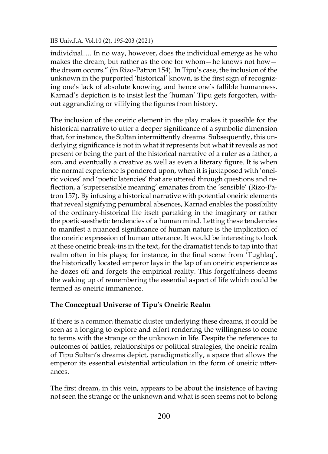#### IIS Univ.J.A. Vol.10 (2), 195-203 (2021)

individual…. In no way, however, does the individual emerge as he who makes the dream, but rather as the one for whom—he knows not how the dream occurs." (in Rizo-Patron 154). In Tipu's case, the inclusion of the unknown in the purported 'historical' known, is the first sign of recognizing one's lack of absolute knowing, and hence one's fallible humanness. Karnad's depiction is to insist lest the 'human' Tipu gets forgotten, without aggrandizing or vilifying the figures from history.

The inclusion of the oneiric element in the play makes it possible for the historical narrative to utter a deeper significance of a symbolic dimension that, for instance, the Sultan intermittently dreams. Subsequently, this underlying significance is not in what it represents but what it reveals as not present or being the part of the historical narrative of a ruler as a father, a son, and eventually a creative as well as even a literary figure. It is when the normal experience is pondered upon, when it is juxtaposed with 'oneiric voices' and 'poetic latencies' that are uttered through questions and reflection, a 'supersensible meaning' emanates from the 'sensible' (Rizo-Patron 157). By infusing a historical narrative with potential oneiric elements that reveal signifying penumbral absences, Karnad enables the possibility of the ordinary-historical life itself partaking in the imaginary or rather the poetic-aesthetic tendencies of a human mind. Letting these tendencies to manifest a nuanced significance of human nature is the implication of the oneiric expression of human utterance. It would be interesting to look at these oneiric break-ins in the text, for the dramatist tends to tap into that realm often in his plays; for instance, in the final scene from 'Tughlaq', the historically located emperor lays in the lap of an oneiric experience as he dozes off and forgets the empirical reality. This forgetfulness deems the waking up of remembering the essential aspect of life which could be termed as oneiric immanence.

## **The Conceptual Universe of Tipu's Oneiric Realm**

If there is a common thematic cluster underlying these dreams, it could be seen as a longing to explore and effort rendering the willingness to come to terms with the strange or the unknown in life. Despite the references to outcomes of battles, relationships or political strategies, the oneiric realm of Tipu Sultan's dreams depict, paradigmatically, a space that allows the emperor its essential existential articulation in the form of oneiric utterances.

The first dream, in this vein, appears to be about the insistence of having not seen the strange or the unknown and what is seen seems not to belong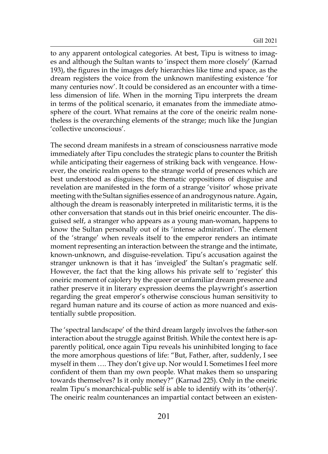to any apparent ontological categories. At best, Tipu is witness to images and although the Sultan wants to 'inspect them more closely' (Karnad 193), the figures in the images defy hierarchies like time and space, as the dream registers the voice from the unknown manifesting existence 'for many centuries now'. It could be considered as an encounter with a timeless dimension of life. When in the morning Tipu interprets the dream in terms of the political scenario, it emanates from the immediate atmosphere of the court. What remains at the core of the oneiric realm nonetheless is the overarching elements of the strange; much like the Jungian 'collective unconscious'.

The second dream manifests in a stream of consciousness narrative mode immediately after Tipu concludes the strategic plans to counter the British while anticipating their eagerness of striking back with vengeance. However, the oneiric realm opens to the strange world of presences which are best understood as disguises; the thematic oppositions of disguise and revelation are manifested in the form of a strange 'visitor' whose private meeting with the Sultan signifies essence of an androgynous nature. Again, although the dream is reasonably interpreted in militaristic terms, it is the other conversation that stands out in this brief oneiric encounter. The disguised self, a stranger who appears as a young man-woman, happens to know the Sultan personally out of its 'intense admiration'. The element of the 'strange' when reveals itself to the emperor renders an intimate moment representing an interaction between the strange and the intimate, known-unknown, and disguise-revelation. Tipu's accusation against the stranger unknown is that it has 'inveigled' the Sultan's pragmatic self. However, the fact that the king allows his private self to 'register' this oneiric moment of cajolery by the queer or unfamiliar dream presence and rather preserve it in literary expression deems the playwright's assertion regarding the great emperor's otherwise conscious human sensitivity to regard human nature and its course of action as more nuanced and existentially subtle proposition.

The 'spectral landscape' of the third dream largely involves the father-son interaction about the struggle against British. While the context here is apparently political, once again Tipu reveals his uninhibited longing to face the more amorphous questions of life: "But, Father, after, suddenly, I see myself in them …. They don't give up. Nor would I. Sometimes I feel more confident of them than my own people. What makes them so unsparing towards themselves? Is it only money?" (Karnad 225). Only in the oneiric realm Tipu's monarchical-public self is able to identify with its 'other(s)'. The oneiric realm countenances an impartial contact between an existen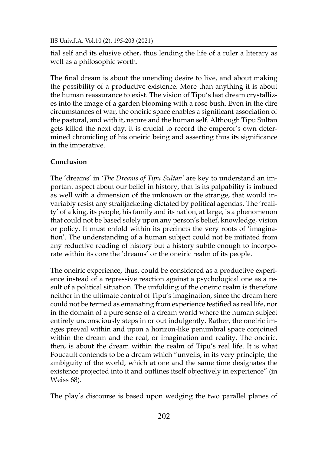tial self and its elusive other, thus lending the life of a ruler a literary as well as a philosophic worth.

The final dream is about the unending desire to live, and about making the possibility of a productive existence. More than anything it is about the human reassurance to exist. The vision of Tipu's last dream crystallizes into the image of a garden blooming with a rose bush. Even in the dire circumstances of war, the oneiric space enables a significant association of the pastoral, and with it, nature and the human self. Although Tipu Sultan gets killed the next day, it is crucial to record the emperor's own determined chronicling of his oneiric being and asserting thus its significance in the imperative.

# **Conclusion**

The 'dreams' in *'The Dreams of Tipu Sultan'* are key to understand an important aspect about our belief in history, that is its palpability is imbued as well with a dimension of the unknown or the strange, that would invariably resist any straitjacketing dictated by political agendas. The 'reality' of a king, its people, his family and its nation, at large, is a phenomenon that could not be based solely upon any person's belief, knowledge, vision or policy. It must enfold within its precincts the very roots of 'imagination'. The understanding of a human subject could not be initiated from any reductive reading of history but a history subtle enough to incorporate within its core the 'dreams' or the oneiric realm of its people.

The oneiric experience, thus, could be considered as a productive experience instead of a repressive reaction against a psychological one as a result of a political situation. The unfolding of the oneiric realm is therefore neither in the ultimate control of Tipu's imagination, since the dream here could not be termed as emanating from experience testified as real life, nor in the domain of a pure sense of a dream world where the human subject entirely unconsciously steps in or out indulgently. Rather, the oneiric images prevail within and upon a horizon-like penumbral space conjoined within the dream and the real, or imagination and reality. The oneiric, then, is about the dream within the realm of Tipu's real life. It is what Foucault contends to be a dream which "unveils, in its very principle, the ambiguity of the world, which at one and the same time designates the existence projected into it and outlines itself objectively in experience" (in Weiss 68).

The play's discourse is based upon wedging the two parallel planes of